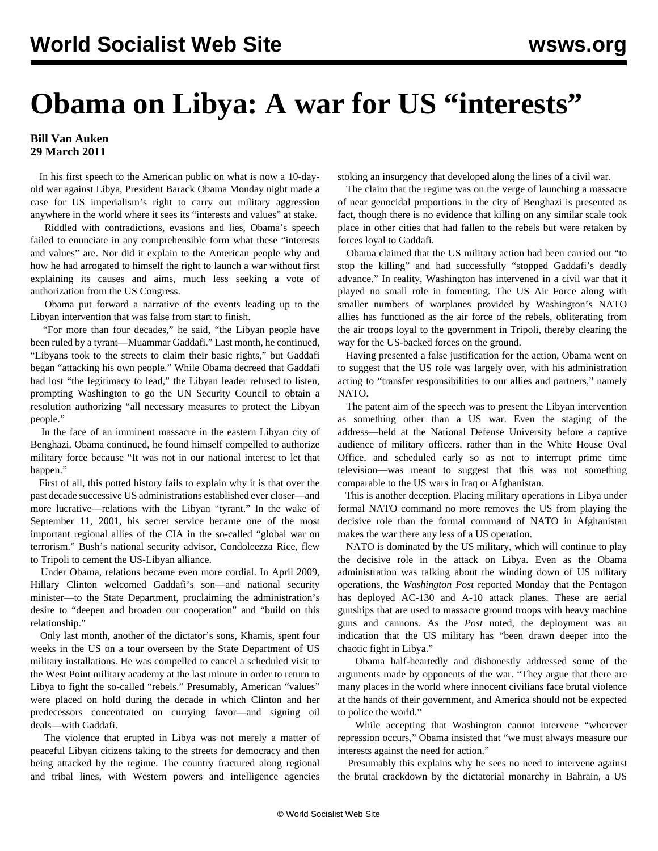## **Obama on Libya: A war for US "interests"**

## **Bill Van Auken 29 March 2011**

 In his first speech to the American public on what is now a 10-dayold war against Libya, President Barack Obama Monday night made a case for US imperialism's right to carry out military aggression anywhere in the world where it sees its "interests and values" at stake.

 Riddled with contradictions, evasions and lies, Obama's speech failed to enunciate in any comprehensible form what these "interests and values" are. Nor did it explain to the American people why and how he had arrogated to himself the right to launch a war without first explaining its causes and aims, much less seeking a vote of authorization from the US Congress.

 Obama put forward a narrative of the events leading up to the Libyan intervention that was false from start to finish.

 "For more than four decades," he said, "the Libyan people have been ruled by a tyrant—Muammar Gaddafi." Last month, he continued, "Libyans took to the streets to claim their basic rights," but Gaddafi began "attacking his own people." While Obama decreed that Gaddafi had lost "the legitimacy to lead," the Libyan leader refused to listen, prompting Washington to go the UN Security Council to obtain a resolution authorizing "all necessary measures to protect the Libyan people."

 In the face of an imminent massacre in the eastern Libyan city of Benghazi, Obama continued, he found himself compelled to authorize military force because "It was not in our national interest to let that happen."

 First of all, this potted history fails to explain why it is that over the past decade successive US administrations established ever closer—and more lucrative—relations with the Libyan "tyrant." In the wake of September 11, 2001, his secret service became one of the most important regional allies of the CIA in the so-called "global war on terrorism." Bush's national security advisor, Condoleezza Rice, flew to Tripoli to cement the US-Libyan alliance.

 Under Obama, relations became even more cordial. In April 2009, Hillary Clinton welcomed Gaddafi's son—and national security minister—to the State Department, proclaiming the administration's desire to "deepen and broaden our cooperation" and "build on this relationship."

 Only last month, another of the dictator's sons, Khamis, spent four weeks in the US on a tour overseen by the State Department of US military installations. He was compelled to cancel a scheduled visit to the West Point military academy at the last minute in order to return to Libya to fight the so-called "rebels." Presumably, American "values" were placed on hold during the decade in which Clinton and her predecessors concentrated on currying favor—and signing oil deals—with Gaddafi.

 The violence that erupted in Libya was not merely a matter of peaceful Libyan citizens taking to the streets for democracy and then being attacked by the regime. The country fractured along regional and tribal lines, with Western powers and intelligence agencies stoking an insurgency that developed along the lines of a civil war.

 The claim that the regime was on the verge of launching a massacre of near genocidal proportions in the city of Benghazi is presented as fact, though there is no evidence that killing on any similar scale took place in other cities that had fallen to the rebels but were retaken by forces loyal to Gaddafi.

 Obama claimed that the US military action had been carried out "to stop the killing" and had successfully "stopped Gaddafi's deadly advance." In reality, Washington has intervened in a civil war that it played no small role in fomenting. The US Air Force along with smaller numbers of warplanes provided by Washington's NATO allies has functioned as the air force of the rebels, obliterating from the air troops loyal to the government in Tripoli, thereby clearing the way for the US-backed forces on the ground.

 Having presented a false justification for the action, Obama went on to suggest that the US role was largely over, with his administration acting to "transfer responsibilities to our allies and partners," namely NATO.

 The patent aim of the speech was to present the Libyan intervention as something other than a US war. Even the staging of the address—held at the National Defense University before a captive audience of military officers, rather than in the White House Oval Office, and scheduled early so as not to interrupt prime time television—was meant to suggest that this was not something comparable to the US wars in Iraq or Afghanistan.

 This is another deception. Placing military operations in Libya under formal NATO command no more removes the US from playing the decisive role than the formal command of NATO in Afghanistan makes the war there any less of a US operation.

 NATO is dominated by the US military, which will continue to play the decisive role in the attack on Libya. Even as the Obama administration was talking about the winding down of US military operations, the *Washington Post* reported Monday that the Pentagon has deployed AC-130 and A-10 attack planes. These are aerial gunships that are used to massacre ground troops with heavy machine guns and cannons. As the *Post* noted, the deployment was an indication that the US military has "been drawn deeper into the chaotic fight in Libya."

 Obama half-heartedly and dishonestly addressed some of the arguments made by opponents of the war. "They argue that there are many places in the world where innocent civilians face brutal violence at the hands of their government, and America should not be expected to police the world."

 While accepting that Washington cannot intervene "wherever repression occurs," Obama insisted that "we must always measure our interests against the need for action."

 Presumably this explains why he sees no need to intervene against the brutal crackdown by the dictatorial monarchy in Bahrain, a US